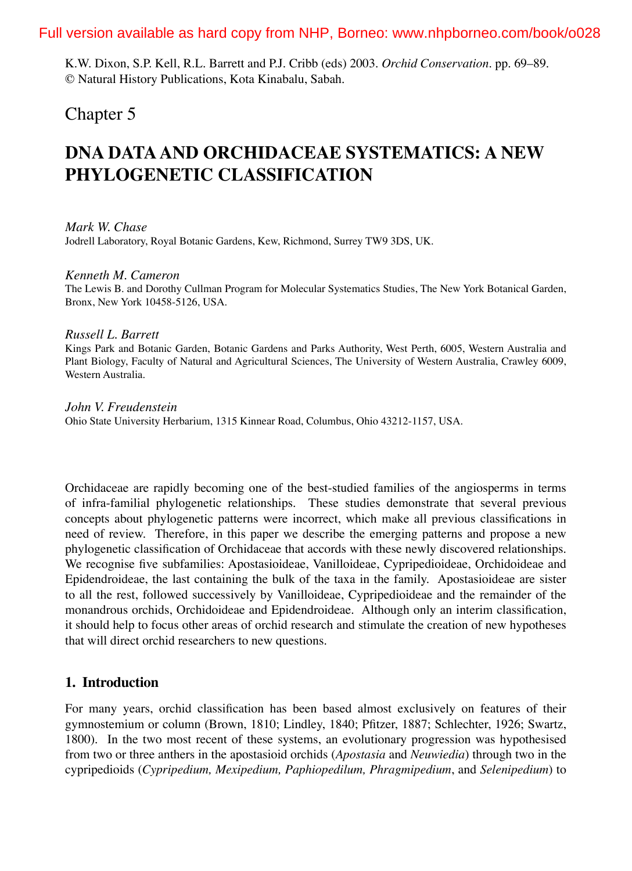## Full version available as hard copy from NHP, Borneo: www.nhpborneo.com/book/o028

K.W. Dixon, S.P. Kell, R.L. Barrett and P.J. Cribb (eds) 2003. *Orchid Conservation*. pp. 69–89. © Natural History Publications, Kota Kinabalu, Sabah.

# Chapter 5

# **DNA DATA AND ORCHIDACEAE SYSTEMATICS: A NEW PHYLOGENETIC CLASSIFICATION**

*Mark W. Chase* Jodrell Laboratory, Royal Botanic Gardens, Kew, Richmond, Surrey TW9 3DS, UK.

*Kenneth M. Cameron*

The Lewis B. and Dorothy Cullman Program for Molecular Systematics Studies, The New York Botanical Garden, Bronx, New York 10458-5126, USA.

#### *Russell L. Barrett*

Kings Park and Botanic Garden, Botanic Gardens and Parks Authority, West Perth, 6005, Western Australia and Plant Biology, Faculty of Natural and Agricultural Sciences, The University of Western Australia, Crawley 6009, Western Australia.

*John V. Freudenstein* Ohio State University Herbarium, 1315 Kinnear Road, Columbus, Ohio 43212-1157, USA.

Orchidaceae are rapidly becoming one of the best-studied families of the angiosperms in terms of infra-familial phylogenetic relationships. These studies demonstrate that several previous concepts about phylogenetic patterns were incorrect, which make all previous classifications in need of review. Therefore, in this paper we describe the emerging patterns and propose a new phylogenetic classification of Orchidaceae that accords with these newly discovered relationships. We recognise five subfamilies: Apostasioideae, Vanilloideae, Cypripedioideae, Orchidoideae and Epidendroideae, the last containing the bulk of the taxa in the family. Apostasioideae are sister to all the rest, followed successively by Vanilloideae, Cypripedioideae and the remainder of the monandrous orchids, Orchidoideae and Epidendroideae. Although only an interim classification, it should help to focus other areas of orchid research and stimulate the creation of new hypotheses that will direct orchid researchers to new questions.

### **1. Introduction**

For many years, orchid classification has been based almost exclusively on features of their gymnostemium or column (Brown, 1810; Lindley, 1840; Pfitzer, 1887; Schlechter, 1926; Swartz, 1800). In the two most recent of these systems, an evolutionary progression was hypothesised from two or three anthers in the apostasioid orchids (*Apostasia* and *Neuwiedia*) through two in the cypripedioids (*Cypripedium, Mexipedium, Paphiopedilum, Phragmipedium*, and *Selenipedium*) to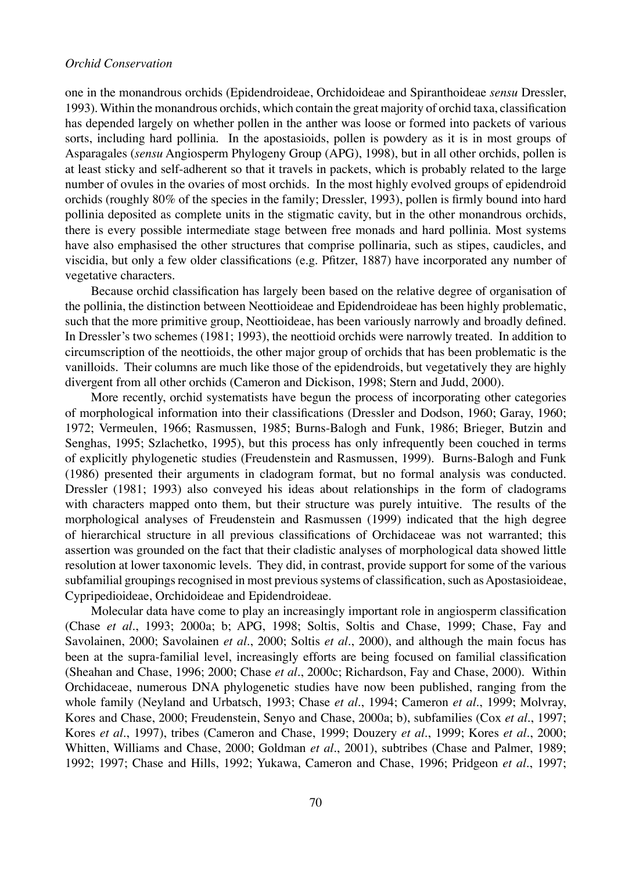#### *Orchid Conservation*

one in the monandrous orchids (Epidendroideae, Orchidoideae and Spiranthoideae *sensu* Dressler, 1993). Within the monandrous orchids, which contain the great majority of orchid taxa, classification has depended largely on whether pollen in the anther was loose or formed into packets of various sorts, including hard pollinia. In the apostasioids, pollen is powdery as it is in most groups of Asparagales (*sensu* Angiosperm Phylogeny Group (APG), 1998), but in all other orchids, pollen is at least sticky and self-adherent so that it travels in packets, which is probably related to the large number of ovules in the ovaries of most orchids. In the most highly evolved groups of epidendroid orchids (roughly 80% of the species in the family; Dressler, 1993), pollen is firmly bound into hard pollinia deposited as complete units in the stigmatic cavity, but in the other monandrous orchids, there is every possible intermediate stage between free monads and hard pollinia. Most systems have also emphasised the other structures that comprise pollinaria, such as stipes, caudicles, and viscidia, but only a few older classifications (e.g. Pfitzer, 1887) have incorporated any number of vegetative characters.

Because orchid classification has largely been based on the relative degree of organisation of the pollinia, the distinction between Neottioideae and Epidendroideae has been highly problematic, such that the more primitive group, Neottioideae, has been variously narrowly and broadly defined. In Dressler's two schemes (1981; 1993), the neottioid orchids were narrowly treated. In addition to circumscription of the neottioids, the other major group of orchids that has been problematic is the vanilloids. Their columns are much like those of the epidendroids, but vegetatively they are highly divergent from all other orchids (Cameron and Dickison, 1998; Stern and Judd, 2000).

More recently, orchid systematists have begun the process of incorporating other categories of morphological information into their classifications (Dressler and Dodson, 1960; Garay, 1960; 1972; Vermeulen, 1966; Rasmussen, 1985; Burns-Balogh and Funk, 1986; Brieger, Butzin and Senghas, 1995; Szlachetko, 1995), but this process has only infrequently been couched in terms of explicitly phylogenetic studies (Freudenstein and Rasmussen, 1999). Burns-Balogh and Funk (1986) presented their arguments in cladogram format, but no formal analysis was conducted. Dressler (1981; 1993) also conveyed his ideas about relationships in the form of cladograms with characters mapped onto them, but their structure was purely intuitive. The results of the morphological analyses of Freudenstein and Rasmussen (1999) indicated that the high degree of hierarchical structure in all previous classifications of Orchidaceae was not warranted; this assertion was grounded on the fact that their cladistic analyses of morphological data showed little resolution at lower taxonomic levels. They did, in contrast, provide support for some of the various subfamilial groupings recognised in most previous systems of classification, such as Apostasioideae, Cypripedioideae, Orchidoideae and Epidendroideae.

Molecular data have come to play an increasingly important role in angiosperm classification (Chase *et al*., 1993; 2000a; b; APG, 1998; Soltis, Soltis and Chase, 1999; Chase, Fay and Savolainen, 2000; Savolainen *et al*., 2000; Soltis *et al*., 2000), and although the main focus has been at the supra-familial level, increasingly efforts are being focused on familial classification (Sheahan and Chase, 1996; 2000; Chase *et al*., 2000c; Richardson, Fay and Chase, 2000). Within Orchidaceae, numerous DNA phylogenetic studies have now been published, ranging from the whole family (Neyland and Urbatsch, 1993; Chase *et al*., 1994; Cameron *et al*., 1999; Molvray, Kores and Chase, 2000; Freudenstein, Senyo and Chase, 2000a; b), subfamilies (Cox *et al*., 1997; Kores *et al*., 1997), tribes (Cameron and Chase, 1999; Douzery *et al*., 1999; Kores *et al*., 2000; Whitten, Williams and Chase, 2000; Goldman *et al*., 2001), subtribes (Chase and Palmer, 1989; 1992; 1997; Chase and Hills, 1992; Yukawa, Cameron and Chase, 1996; Pridgeon *et al*., 1997;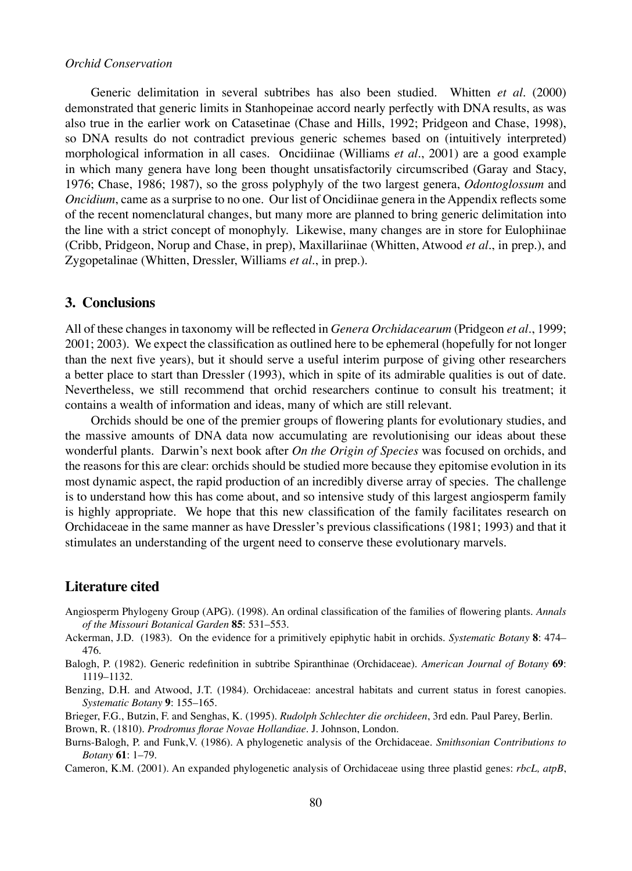#### *Orchid Conservation*

Generic delimitation in several subtribes has also been studied. Whitten *et al*. (2000) demonstrated that generic limits in Stanhopeinae accord nearly perfectly with DNA results, as was also true in the earlier work on Catasetinae (Chase and Hills, 1992; Pridgeon and Chase, 1998), so DNA results do not contradict previous generic schemes based on (intuitively interpreted) morphological information in all cases. Oncidiinae (Williams *et al*., 2001) are a good example in which many genera have long been thought unsatisfactorily circumscribed (Garay and Stacy, 1976; Chase, 1986; 1987), so the gross polyphyly of the two largest genera, *Odontoglossum* and *Oncidium*, came as a surprise to no one. Our list of Oncidiinae genera in the Appendix reflects some of the recent nomenclatural changes, but many more are planned to bring generic delimitation into the line with a strict concept of monophyly. Likewise, many changes are in store for Eulophiinae (Cribb, Pridgeon, Norup and Chase, in prep), Maxillariinae (Whitten, Atwood *et al*., in prep.), and Zygopetalinae (Whitten, Dressler, Williams *et al*., in prep.).

#### **3. Conclusions**

All of these changes in taxonomy will be reflected in *Genera Orchidacearum* (Pridgeon *et al*., 1999; 2001; 2003). We expect the classification as outlined here to be ephemeral (hopefully for not longer than the next five years), but it should serve a useful interim purpose of giving other researchers a better place to start than Dressler (1993), which in spite of its admirable qualities is out of date. Nevertheless, we still recommend that orchid researchers continue to consult his treatment; it contains a wealth of information and ideas, many of which are still relevant.

Orchids should be one of the premier groups of flowering plants for evolutionary studies, and the massive amounts of DNA data now accumulating are revolutionising our ideas about these wonderful plants. Darwin's next book after *On the Origin of Species* was focused on orchids, and the reasons for this are clear: orchids should be studied more because they epitomise evolution in its most dynamic aspect, the rapid production of an incredibly diverse array of species. The challenge is to understand how this has come about, and so intensive study of this largest angiosperm family is highly appropriate. We hope that this new classification of the family facilitates research on Orchidaceae in the same manner as have Dressler's previous classifications (1981; 1993) and that it stimulates an understanding of the urgent need to conserve these evolutionary marvels.

#### **Literature cited**

- Angiosperm Phylogeny Group (APG). (1998). An ordinal classification of the families of flowering plants. *Annals of the Missouri Botanical Garden* **85**: 531–553.
- Ackerman, J.D. (1983). On the evidence for a primitively epiphytic habit in orchids. *Systematic Botany* **8**: 474– 476.
- Balogh, P. (1982). Generic redefinition in subtribe Spiranthinae (Orchidaceae). *American Journal of Botany* **69**: 1119–1132.
- Benzing, D.H. and Atwood, J.T. (1984). Orchidaceae: ancestral habitats and current status in forest canopies. *Systematic Botany* **9**: 155–165.
- Brieger, F.G., Butzin, F. and Senghas, K. (1995). *Rudolph Schlechter die orchideen*, 3rd edn. Paul Parey, Berlin. Brown, R. (1810). *Prodromus florae Novae Hollandiae*. J. Johnson, London.
- Burns-Balogh, P. and Funk,V. (1986). A phylogenetic analysis of the Orchidaceae. *Smithsonian Contributions to Botany* **61**: 1–79.
- Cameron, K.M. (2001). An expanded phylogenetic analysis of Orchidaceae using three plastid genes: *rbcL, atpB*,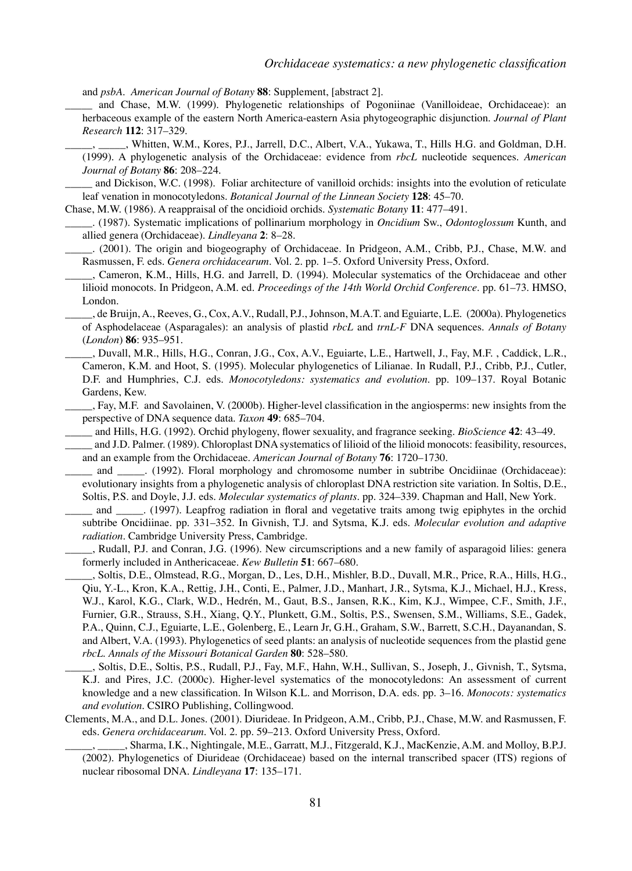and *psbA*. *American Journal of Botany* **88**: Supplement, [abstract 2].

- \_\_\_\_\_ and Chase, M.W. (1999). Phylogenetic relationships of Pogoniinae (Vanilloideae, Orchidaceae): an herbaceous example of the eastern North America-eastern Asia phytogeographic disjunction. *Journal of Plant Research* **112**: 317–329.
- \_\_\_\_\_, \_\_\_\_\_, Whitten, W.M., Kores, P.J., Jarrell, D.C., Albert, V.A., Yukawa, T., Hills H.G. and Goldman, D.H. (1999). A phylogenetic analysis of the Orchidaceae: evidence from *rbcL* nucleotide sequences. *American Journal of Botany* **86**: 208–224.

and Dickison, W.C. (1998). Foliar architecture of vanilloid orchids: insights into the evolution of reticulate leaf venation in monocotyledons. *Botanical Journal of the Linnean Society* **128**: 45–70.

Chase, M.W. (1986). A reappraisal of the oncidioid orchids. *Systematic Botany* **11**: 477–491.

- \_\_\_\_\_. (1987). Systematic implications of pollinarium morphology in *Oncidium* Sw., *Odontoglossum* Kunth, and allied genera (Orchidaceae). *Lindleyana* **2**: 8–28.
	- \_\_\_\_\_. (2001). The origin and biogeography of Orchidaceae. In Pridgeon, A.M., Cribb, P.J., Chase, M.W. and Rasmussen, F. eds. *Genera orchidacearum*. Vol. 2. pp. 1–5. Oxford University Press, Oxford.
- \_\_\_\_\_, Cameron, K.M., Hills, H.G. and Jarrell, D. (1994). Molecular systematics of the Orchidaceae and other lilioid monocots. In Pridgeon, A.M. ed. *Proceedings of the 14th World Orchid Conference*. pp. 61–73. HMSO, London.
- \_\_\_\_\_, de Bruijn, A., Reeves, G., Cox, A.V., Rudall, P.J., Johnson, M.A.T. and Eguiarte, L.E. (2000a). Phylogenetics of Asphodelaceae (Asparagales): an analysis of plastid *rbcL* and *trnL-F* DNA sequences. *Annals of Botany* (*London*) **86**: 935–951.
- \_\_\_\_\_, Duvall, M.R., Hills, H.G., Conran, J.G., Cox, A.V., Eguiarte, L.E., Hartwell, J., Fay, M.F. , Caddick, L.R., Cameron, K.M. and Hoot, S. (1995). Molecular phylogenetics of Lilianae. In Rudall, P.J., Cribb, P.J., Cutler, D.F. and Humphries, C.J. eds. *Monocotyledons: systematics and evolution*. pp. 109–137. Royal Botanic Gardens, Kew.
- \_\_\_\_\_, Fay, M.F. and Savolainen, V. (2000b). Higher-level classification in the angiosperms: new insights from the perspective of DNA sequence data. *Taxon* **49**: 685–704.
- \_\_\_\_\_ and Hills, H.G. (1992). Orchid phylogeny, flower sexuality, and fragrance seeking. *BioScience* **42**: 43–49.
- and J.D. Palmer. (1989). Chloroplast DNA systematics of lilioid of the lilioid monocots: feasibility, resources, and an example from the Orchidaceae. *American Journal of Botany* **76**: 1720–1730.
- and \_\_\_\_\_. (1992). Floral morphology and chromosome number in subtribe Oncidiinae (Orchidaceae): evolutionary insights from a phylogenetic analysis of chloroplast DNA restriction site variation. In Soltis, D.E., Soltis, P.S. and Doyle, J.J. eds. *Molecular systematics of plants*. pp. 324–339. Chapman and Hall, New York.
- and \_\_\_\_\_\_ (1997). Leapfrog radiation in floral and vegetative traits among twig epiphytes in the orchid subtribe Oncidiinae. pp. 331–352. In Givnish, T.J. and Sytsma, K.J. eds. *Molecular evolution and adaptive radiation*. Cambridge University Press, Cambridge.
- \_\_\_\_\_, Rudall, P.J. and Conran, J.G. (1996). New circumscriptions and a new family of asparagoid lilies: genera formerly included in Anthericaceae. *Kew Bulletin* **51**: 667–680.
- \_\_\_\_\_, Soltis, D.E., Olmstead, R.G., Morgan, D., Les, D.H., Mishler, B.D., Duvall, M.R., Price, R.A., Hills, H.G., Qiu, Y.-L., Kron, K.A., Rettig, J.H., Conti, E., Palmer, J.D., Manhart, J.R., Sytsma, K.J., Michael, H.J., Kress, W.J., Karol, K.G., Clark, W.D., Hedrén, M., Gaut, B.S., Jansen, R.K., Kim, K.J., Wimpee, C.F., Smith, J.F., Furnier, G.R., Strauss, S.H., Xiang, Q.Y., Plunkett, G.M., Soltis, P.S., Swensen, S.M., Williams, S.E., Gadek, P.A., Quinn, C.J., Eguiarte, L.E., Golenberg, E., Learn Jr, G.H., Graham, S.W., Barrett, S.C.H., Dayanandan, S. and Albert, V.A. (1993). Phylogenetics of seed plants: an analysis of nucleotide sequences from the plastid gene *rbcL*. *Annals of the Missouri Botanical Garden* **80**: 528–580.
- \_\_\_\_\_, Soltis, D.E., Soltis, P.S., Rudall, P.J., Fay, M.F., Hahn, W.H., Sullivan, S., Joseph, J., Givnish, T., Sytsma, K.J. and Pires, J.C. (2000c). Higher-level systematics of the monocotyledons: An assessment of current knowledge and a new classification. In Wilson K.L. and Morrison, D.A. eds. pp. 3–16. *Monocots: systematics and evolution*. CSIRO Publishing, Collingwood.
- Clements, M.A., and D.L. Jones. (2001). Diurideae. In Pridgeon, A.M., Cribb, P.J., Chase, M.W. and Rasmussen, F. eds. *Genera orchidacearum*. Vol. 2. pp. 59–213. Oxford University Press, Oxford.
	- \_\_\_\_\_, \_\_\_\_\_, Sharma, I.K., Nightingale, M.E., Garratt, M.J., Fitzgerald, K.J., MacKenzie, A.M. and Molloy, B.P.J. (2002). Phylogenetics of Diurideae (Orchidaceae) based on the internal transcribed spacer (ITS) regions of nuclear ribosomal DNA. *Lindleyana* **17**: 135–171.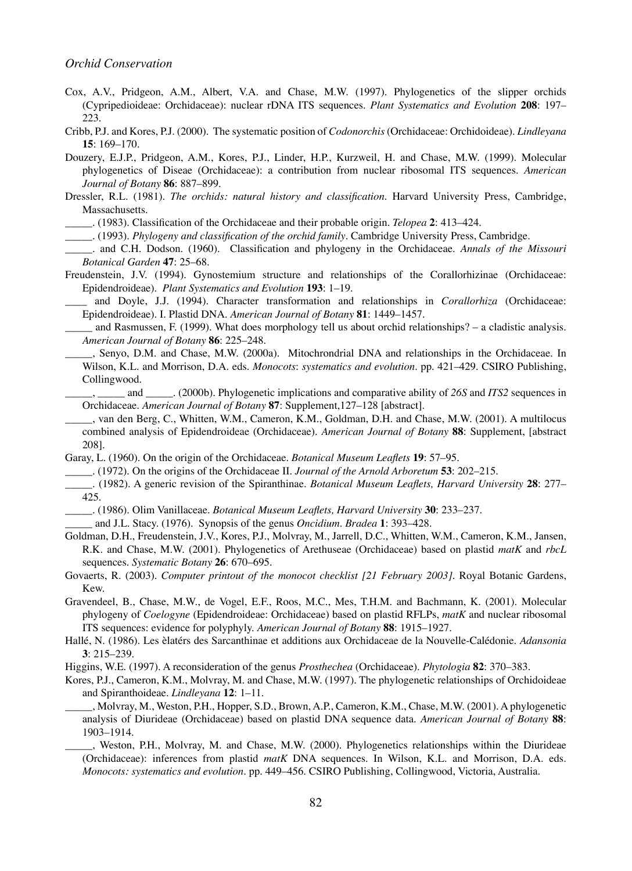- Cox, A.V., Pridgeon, A.M., Albert, V.A. and Chase, M.W. (1997). Phylogenetics of the slipper orchids (Cypripedioideae: Orchidaceae): nuclear rDNA ITS sequences. *Plant Systematics and Evolution* **208**: 197– 223.
- Cribb, P.J. and Kores, P.J. (2000). The systematic position of *Codonorchis* (Orchidaceae: Orchidoideae). *Lindleyana* **15**: 169–170.
- Douzery, E.J.P., Pridgeon, A.M., Kores, P.J., Linder, H.P., Kurzweil, H. and Chase, M.W. (1999). Molecular phylogenetics of Diseae (Orchidaceae): a contribution from nuclear ribosomal ITS sequences. *American Journal of Botany* **86**: 887–899.
- Dressler, R.L. (1981). *The orchids: natural history and classification*. Harvard University Press, Cambridge, Massachusetts.
- \_\_\_\_\_. (1983). Classification of the Orchidaceae and their probable origin. *Telopea* **2**: 413–424.
- \_\_\_\_\_. (1993). *Phylogeny and classification of the orchid family*. Cambridge University Press, Cambridge.
- \_\_\_\_\_. and C.H. Dodson. (1960). Classification and phylogeny in the Orchidaceae. *Annals of the Missouri Botanical Garden* **47**: 25–68.
- Freudenstein, J.V. (1994). Gynostemium structure and relationships of the Corallorhizinae (Orchidaceae: Epidendroideae). *Plant Systematics and Evolution* **193**: 1–19.

\_\_\_\_ and Doyle, J.J. (1994). Character transformation and relationships in *Corallorhiza* (Orchidaceae: Epidendroideae). I. Plastid DNA. *American Journal of Botany* **81**: 1449–1457.

and Rasmussen, F. (1999). What does morphology tell us about orchid relationships? – a cladistic analysis. *American Journal of Botany* **86**: 225–248.

\_\_\_\_\_, Senyo, D.M. and Chase, M.W. (2000a). Mitochrondrial DNA and relationships in the Orchidaceae. In Wilson, K.L. and Morrison, D.A. eds. *Monocots*: *systematics and evolution*. pp. 421–429. CSIRO Publishing, Collingwood.

\_\_\_\_\_, \_\_\_\_\_ and \_\_\_\_\_. (2000b). Phylogenetic implications and comparative ability of *26S* and *ITS2* sequences in Orchidaceae. *American Journal of Botany* **87**: Supplement,127–128 [abstract].

- \_\_\_\_\_, van den Berg, C., Whitten, W.M., Cameron, K.M., Goldman, D.H. and Chase, M.W. (2001). A multilocus combined analysis of Epidendroideae (Orchidaceae). *American Journal of Botany* **88**: Supplement, [abstract 208].
- Garay, L. (1960). On the origin of the Orchidaceae. *Botanical Museum Leaflets* **19**: 57–95.
	- \_\_\_\_\_. (1972). On the origins of the Orchidaceae II. *Journal of the Arnold Arboretum* **53**: 202–215.
- \_\_\_\_\_. (1982). A generic revision of the Spiranthinae. *Botanical Museum Leaflets, Harvard University* **28**: 277– 425.

\_\_\_\_\_. (1986). Olim Vanillaceae. *Botanical Museum Leaflets, Harvard University* **30**: 233–237.

- \_\_\_\_\_ and J.L. Stacy. (1976). Synopsis of the genus *Oncidium*. *Bradea* **1**: 393–428.
- Goldman, D.H., Freudenstein, J.V., Kores, P.J., Molvray, M., Jarrell, D.C., Whitten, W.M., Cameron, K.M., Jansen, R.K. and Chase, M.W. (2001). Phylogenetics of Arethuseae (Orchidaceae) based on plastid *matK* and *rbcL* sequences. *Systematic Botany* **26**: 670–695.
- Govaerts, R. (2003). *Computer printout of the monocot checklist [21 February 2003]*. Royal Botanic Gardens, Kew.

Gravendeel, B., Chase, M.W., de Vogel, E.F., Roos, M.C., Mes, T.H.M. and Bachmann, K. (2001). Molecular phylogeny of *Coelogyne* (Epidendroideae: Orchidaceae) based on plastid RFLPs, *matK* and nuclear ribosomal ITS sequences: evidence for polyphyly. *American Journal of Botany* **88**: 1915–1927.

Hallé, N. (1986). Les èlatérs des Sarcanthinae et additions aux Orchidaceae de la Nouvelle-Calédonie. *Adansonia* **3**: 215–239.

Higgins, W.E. (1997). A reconsideration of the genus *Prosthechea* (Orchidaceae). *Phytologia* **82**: 370–383.

- Kores, P.J., Cameron, K.M., Molvray, M. and Chase, M.W. (1997). The phylogenetic relationships of Orchidoideae and Spiranthoideae. *Lindleyana* **12**: 1–11.
- \_\_\_\_\_, Molvray, M., Weston, P.H., Hopper, S.D., Brown, A.P., Cameron, K.M., Chase, M.W. (2001). A phylogenetic analysis of Diurideae (Orchidaceae) based on plastid DNA sequence data. *American Journal of Botany* **88**: 1903–1914.

\_\_\_\_\_, Weston, P.H., Molvray, M. and Chase, M.W. (2000). Phylogenetics relationships within the Diurideae (Orchidaceae): inferences from plastid *matK* DNA sequences. In Wilson, K.L. and Morrison, D.A. eds. *Monocots: systematics and evolution*. pp. 449–456. CSIRO Publishing, Collingwood, Victoria, Australia.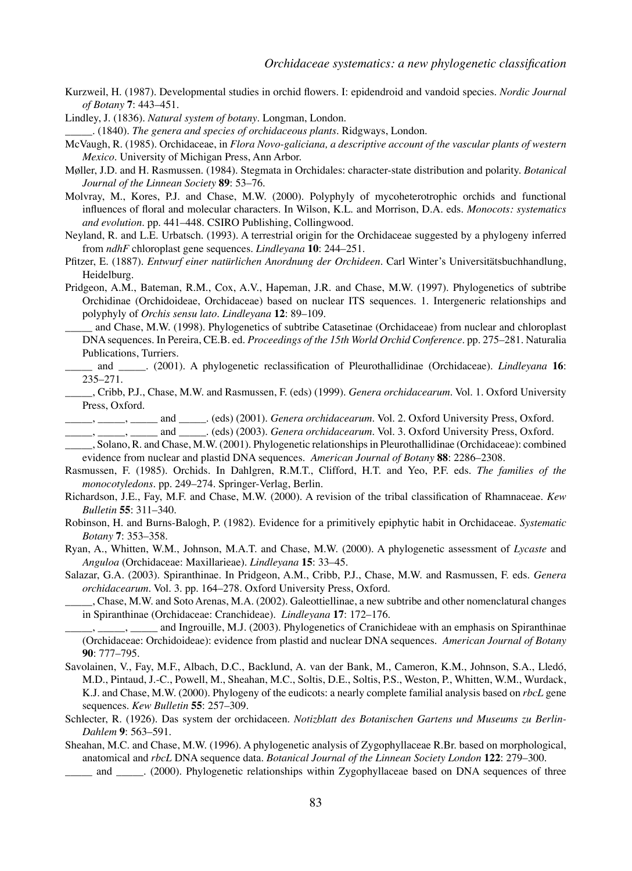Kurzweil, H. (1987). Developmental studies in orchid flowers. I: epidendroid and vandoid species. *Nordic Journal of Botany* **7**: 443–451.

Lindley, J. (1836). *Natural system of botany*. Longman, London.

\_\_\_\_\_. (1840). *The genera and species of orchidaceous plants*. Ridgways, London.

- McVaugh, R. (1985). Orchidaceae, in *Flora Novo-galiciana, a descriptive account of the vascular plants of western Mexico*. University of Michigan Press, Ann Arbor.
- Møller, J.D. and H. Rasmussen. (1984). Stegmata in Orchidales: character-state distribution and polarity. *Botanical Journal of the Linnean Society* **89**: 53–76.
- Molvray, M., Kores, P.J. and Chase, M.W. (2000). Polyphyly of mycoheterotrophic orchids and functional influences of floral and molecular characters. In Wilson, K.L. and Morrison, D.A. eds. *Monocots: systematics and evolution*. pp. 441–448. CSIRO Publishing, Collingwood.
- Neyland, R. and L.E. Urbatsch. (1993). A terrestrial origin for the Orchidaceae suggested by a phylogeny inferred from *ndhF* chloroplast gene sequences. *Lindleyana* **10**: 244–251.
- Pfitzer, E. (1887). *Entwurf einer natürlichen Anordnung der Orchideen*. Carl Winter's Universitätsbuchhandlung, Heidelburg.
- Pridgeon, A.M., Bateman, R.M., Cox, A.V., Hapeman, J.R. and Chase, M.W. (1997). Phylogenetics of subtribe Orchidinae (Orchidoideae, Orchidaceae) based on nuclear ITS sequences. 1. Intergeneric relationships and polyphyly of *Orchis sensu lato*. *Lindleyana* **12**: 89–109.
- \_\_\_\_\_ and Chase, M.W. (1998). Phylogenetics of subtribe Catasetinae (Orchidaceae) from nuclear and chloroplast DNA sequences. In Pereira, CE.B. ed. *Proceedings of the 15th World Orchid Conference*. pp. 275–281. Naturalia Publications, Turriers.
- \_\_\_\_\_ and \_\_\_\_\_. (2001). A phylogenetic reclassification of Pleurothallidinae (Orchidaceae). *Lindleyana* **16**: 235–271.
	- \_\_\_\_\_, Cribb, P.J., Chase, M.W. and Rasmussen, F. (eds) (1999). *Genera orchidacearum*. Vol. 1. Oxford University Press, Oxford.
- \_\_\_\_\_, \_\_\_\_\_, \_\_\_\_\_ and \_\_\_\_\_. (eds) (2001). *Genera orchidacearum*. Vol. 2. Oxford University Press, Oxford.
- \_\_\_\_\_, \_\_\_\_\_, \_\_\_\_\_ and \_\_\_\_\_. (eds) (2003). *Genera orchidacearum*. Vol. 3. Oxford University Press, Oxford. \_\_\_\_\_, Solano, R. and Chase, M.W. (2001). Phylogenetic relationships in Pleurothallidinae (Orchidaceae): combined
- evidence from nuclear and plastid DNA sequences. *American Journal of Botany* **88**: 2286–2308.
- Rasmussen, F. (1985). Orchids. In Dahlgren, R.M.T., Clifford, H.T. and Yeo, P.F. eds. *The families of the monocotyledons*. pp. 249–274. Springer-Verlag, Berlin.
- Richardson, J.E., Fay, M.F. and Chase, M.W. (2000). A revision of the tribal classification of Rhamnaceae. *Kew Bulletin* **55**: 311–340.
- Robinson, H. and Burns-Balogh, P. (1982). Evidence for a primitively epiphytic habit in Orchidaceae. *Systematic Botany* **7**: 353–358.
- Ryan, A., Whitten, W.M., Johnson, M.A.T. and Chase, M.W. (2000). A phylogenetic assessment of *Lycaste* and *Anguloa* (Orchidaceae: Maxillarieae). *Lindleyana* **15**: 33–45.
- Salazar, G.A. (2003). Spiranthinae. In Pridgeon, A.M., Cribb, P.J., Chase, M.W. and Rasmussen, F. eds. *Genera orchidacearum*. Vol. 3. pp. 164–278. Oxford University Press, Oxford.
- \_\_\_\_\_, Chase, M.W. and Soto Arenas, M.A. (2002). Galeottiellinae, a new subtribe and other nomenclatural changes in Spiranthinae (Orchidaceae: Cranchideae). *Lindleyana* **17**: 172–176.
- <sub>-</sub>, \_\_\_\_\_, and Ingrouille, M.J. (2003). Phylogenetics of Cranichideae with an emphasis on Spiranthinae (Orchidaceae: Orchidoideae): evidence from plastid and nuclear DNA sequences. *American Journal of Botany* **90**: 777–795.
- Savolainen, V., Fay, M.F., Albach, D.C., Backlund, A. van der Bank, M., Cameron, K.M., Johnson, S.A., Lledó, M.D., Pintaud, J.-C., Powell, M., Sheahan, M.C., Soltis, D.E., Soltis, P.S., Weston, P., Whitten, W.M., Wurdack, K.J. and Chase, M.W. (2000). Phylogeny of the eudicots: a nearly complete familial analysis based on *rbcL* gene sequences. *Kew Bulletin* **55**: 257–309.
- Schlecter, R. (1926). Das system der orchidaceen. *Notizblatt des Botanischen Gartens und Museums zu Berlin-Dahlem* **9**: 563–591.
- Sheahan, M.C. and Chase, M.W. (1996). A phylogenetic analysis of Zygophyllaceae R.Br. based on morphological, anatomical and *rbcL* DNA sequence data. *Botanical Journal of the Linnean Society London* **122**: 279–300.
	- and \_\_\_\_\_ (2000). Phylogenetic relationships within Zygophyllaceae based on DNA sequences of three